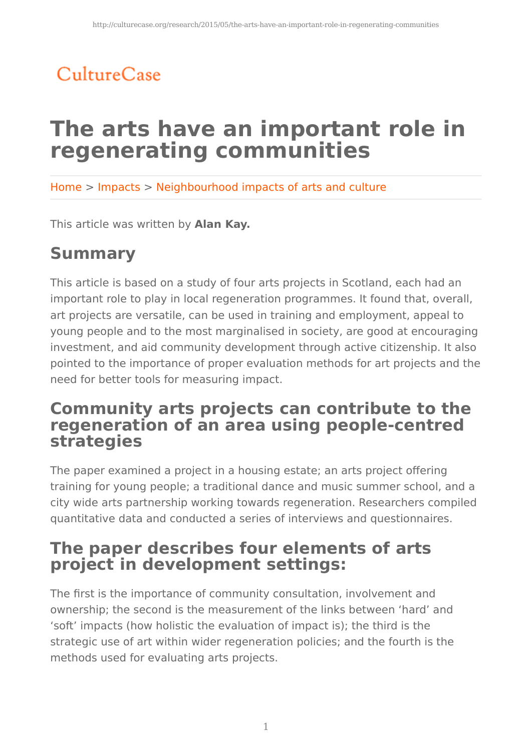# CultureCase

# **The arts have an important role in regenerating communities**

Home > Impacts > Neighbourhood impacts of arts and culture

This article was written by **Alan Kay.**

# **Summary**

This article is based on a study of four arts projects in Scotland, each had an important role to play in local regeneration programmes. It found that, overall, art projects are versatile, can be used in training and employment, appeal to young people and to the most marginalised in society, are good at encouraging investment, and aid community development through active citizenship. It also pointed to the importance of proper evaluation methods for art projects and the need for better tools for measuring impact.

### **Community arts projects can contribute to the regeneration of an area using people-centred strategies**

The paper examined a project in a housing estate; an arts project offering training for young people; a traditional dance and music summer school, and a city wide arts partnership working towards regeneration. Researchers compiled quantitative data and conducted a series of interviews and questionnaires.

### **The paper describes four elements of arts project in development settings:**

The first is the importance of community consultation, involvement and ownership; the second is the measurement of the links between 'hard' and 'soft' impacts (how holistic the evaluation of impact is); the third is the strategic use of art within wider regeneration policies; and the fourth is the methods used for evaluating arts projects.